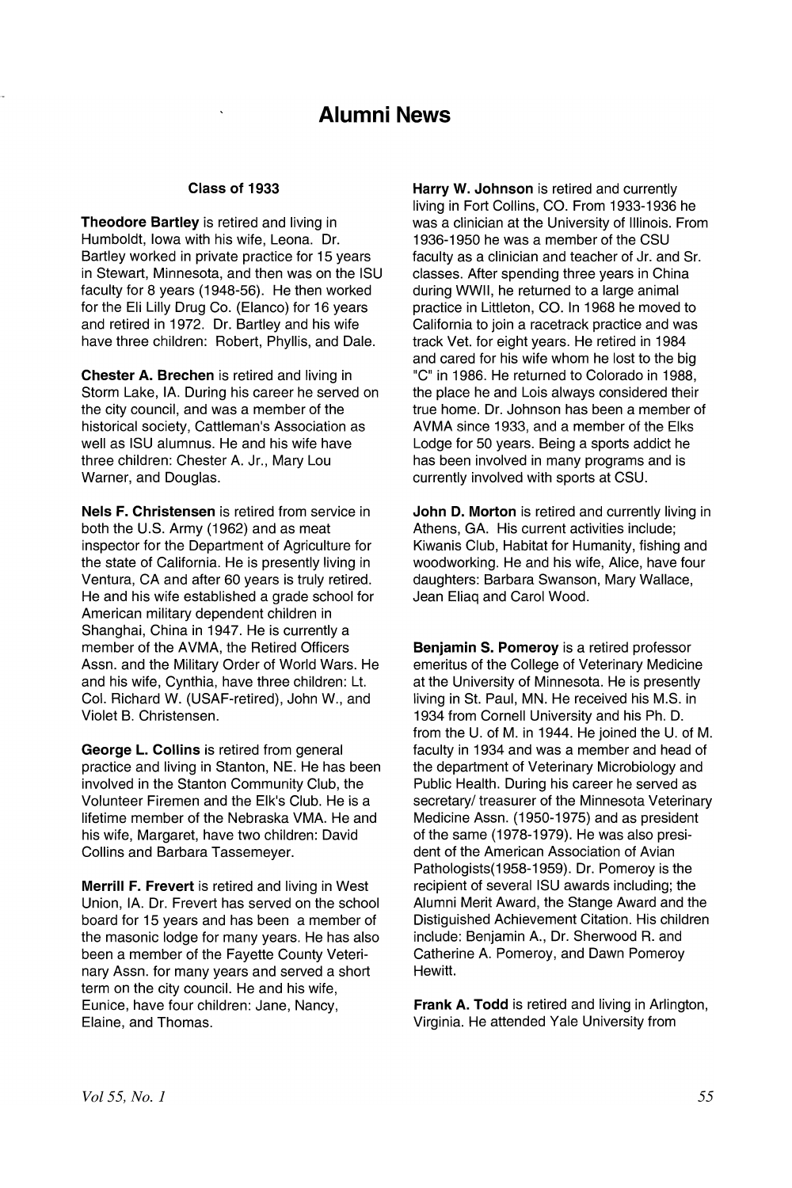# **Alumni** News

### Class of 1933

Theodore Bartley is retired and living in Humboldt, Iowa with his wife, Leona. Dr. Bartley worked in private practice for 15 years in Stewart, Minnesota, and then was on the ISU faculty for 8 years (1948-56). He then worked for the Eli Lilly Drug Co. (Elanco) for 16 years and retired in 1972. Dr. Bartley and his wife have three children: Robert, Phyllis, and Dale.

Chester A. Brechen is retired and living in Storm Lake, IA. During his career he served on the city council, and was a member of the historical society, Cattleman's Association as well as ISU alumnus. He and his wife have three children: Chester A. Jr., Mary Lou Warner, and Douglas.

Nels F. Christensen is retired from service in both the U.S. Army (1962) and as meat inspector for the Department of Agriculture for the state of California. He is presently living in Ventura, CA and after 60 years is truly retired. He and his wife established a grade school for American military dependent children in Shanghai, China in 1947. He is currently a member of the AVMA, the Retired Officers Assn. and the Military Order of World Wars. He and his wife, Cynthia, have three children: Lt. Col. Richard W. (USAF-retired), John W., and Violet B. Christensen.

George L. Collins is retired from general practice and living in Stanton, NE. He has been involved in the Stanton Community Club, the Volunteer Firemen and the Elk's Club. He is a lifetime member of the Nebraska VMA. He and his wife, Margaret, have two children: David Collins and Barbara Tassemeyer.

Merrill F. Frevert is retired and living in West Union, IA. Dr. Frevert has served on the school board for 15 years and has been a member of the masonic lodge for many years. He has also been a member of the Fayette County Veterinary Assn. for many years and served a short term on the city council. He and his wife, Eunice, have four children: Jane, Nancy, Elaine, and Thomas.

Harry W. Johnson is retired and currently living in Fort Collins, CO. From 1933-1936 he was a clinician at the University of Illinois. From 1936-1950 he was a member of the CSU faculty as a clinician and teacher of Jr. and Sr. classes. After spending three years in China during WWII, he returned to a large animal practice in Littleton, CO. In 1968 he moved to California to join a racetrack practice and was track Vet. for eight years. He retired in 1984 and cared for his wife whom he lost to the big "C" in 1986. He returned to Colorado in 1988, the place he and Lois always considered their true home. Dr. Johnson has been a member of AVMA since 1933; and a member of the Elks Lodge for 50 years. Being a sports addict he has been involved in many programs and is currently involved with sports at CSU.

John D. Morton is retired and currently living in Athens, GA. His current activities include; Kiwanis Club, Habitat for Humanity, fishing and woodworking. He and his wife, Alice, have four daughters: Barbara Swanson, Mary Wallace, Jean Eliaq and Carol Wood.

Benjamin S. Pomeroy is a retired professor emeritus of the College of Veterinary Medicine at the University of Minnesota. He is presently living in St. Paul, MN. He received his M.S. in 1934 from Cornell University and his Ph. D. from the U. of M. in 1944. He joined the U. of M. faculty in 1934 and was a member and head of the department of Veterinary Microbiology and Public Health. During his career he served as secretary/ treasurer of the Minnesota Veterinary Medicine Assn. (1950-1975) and as president of the same (1978-1979). He was also president of the American Association of Avian Pathologists(1958-1959). Dr. Pomeroy is the recipient of several ISU awards including; the Alumni Merit Award, the Stange Award and the Distiguished Achievement Citation. His children include: Benjamin A., Dr. Sherwood R. and Catherine A. Pomeroy, and Dawn Pomeroy Hewitt.

Frank A. Todd is retired and living in Arlington, Virginia. He attended Yale University from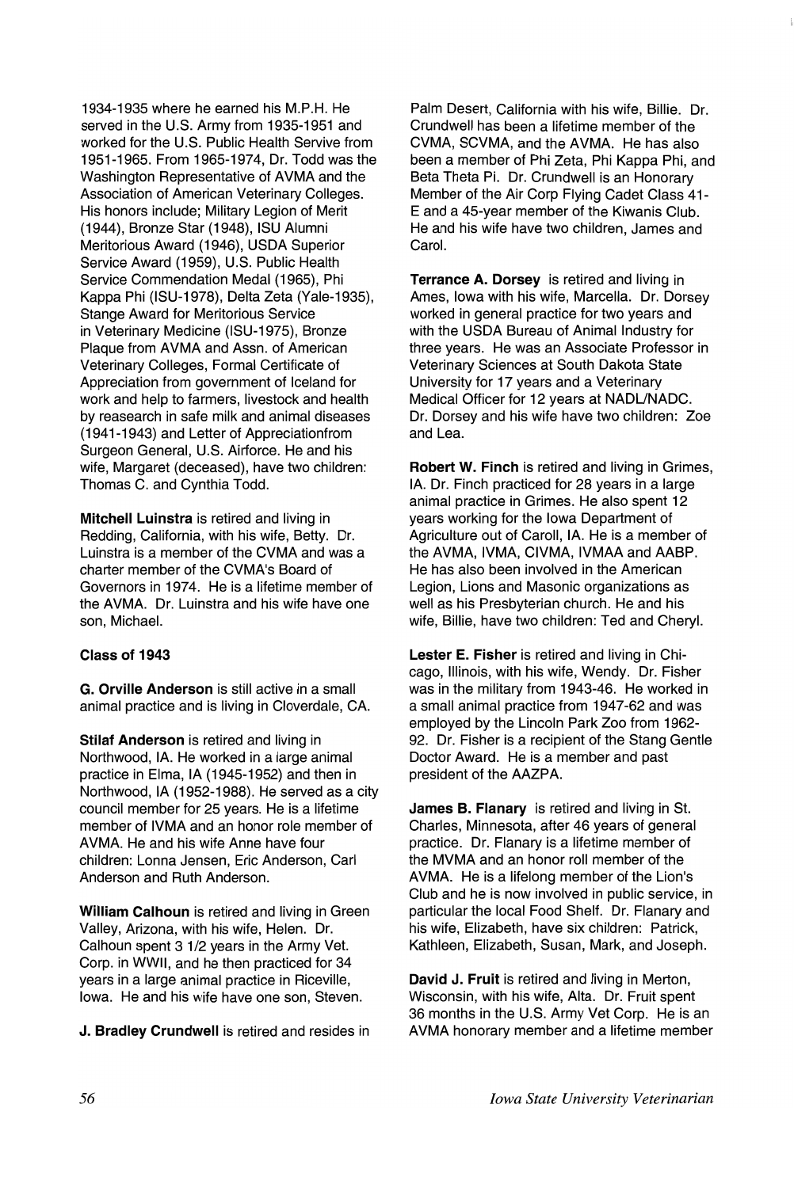1934-1935 where he earned his M.P.H. He served in the U.S. Army from 1935-1951 and worked for the U.S. Public Health Servive from 1951-1965. From 1965-1974, Dr. Todd was the Washington Representative of AVMA and the Association of American Veterinary Colleges. His honors include; Military Legion of Merit (1944), Bronze Star (1948), ISU Alumni Meritorious Award (1946), USDA Superior Service Award (1959), U.S. Public Health Service Commendation Medal (1965), Phi Kappa Phi (ISU-1978), Delta Zeta (Yale-1935), Stange Award for Meritorious Service in Veterinary Medicine (ISU-1975), Bronze Plaque from AVMA and Assn. of American Veterinary Colleges, Formal Certificate of Appreciation from government of Iceland for work and help to farmers, livestock and health by reasearch in safe milk and animal diseases (1941-1943) and Letter of Appreciationfrom Surgeon General, U.S. Airforce. He and his wife, Margaret (deceased), have two children: Thomas C. and Cynthia Todd.

Mitchell Luinstra is retired and living in Redding, California, with his wife, Betty. Dr. Luinstra is a member of the CVMA and was a charter member of the CVMA's Board of Governors in 1974. He is a lifetime member of the AVMA. Dr. Luinstra and his wife have one son, Michael.

## Class of 1943

G. Orville Anderson is still active in a small animal practice and is living in Cloverdale, CA.

Stilaf Anderson is retired and living in Northwood, IA. He worked in a large animal practice in Elma, IA (1945-1952) and then in Northwood, IA (1952-1988). He served as a city council member for 25 years. He is a lifetime member of IVMA and an honor role member of AVMA. He and his wife Anne have four children: Lonna Jensen, Eric Anderson, Carl Anderson and Ruth Anderson.

William Calhoun is retired and living in Green Valley, Arizona, with his wife, Helen. Dr. Calhoun spent 3 1/2 years in the Army Vet. Corp. in WWII, and he then practiced for 34 years in a large animal practice in Riceville, Iowa. He and his wife have one son, Steven.

J. Bradley Crundwell is retired and resides in

Palm Desert, California with his wife, Billie. Dr. Crundwell has been a lifetime member of the CVMA, SCVMA, and the AVMA. He has also been a member of Phi Zeta, Phi Kappa Phi, and Beta Theta Pi. Dr. Crundwell is an Honorary Member of the Air Corp Flying Cadet Class 41- E and a 45-year member of the Kiwanis Club. He and his wife have two children, James and Carol.

Terrance A. Dorsey is retired and living in Ames, Iowa with his wife, Marcella. Dr. Dorsey worked in general practice for two years and with the USDA Bureau of Animal Industry for three years. He was an Associate Professor in Veterinary Sciences at South Dakota State University for 17 years and a Veterinary Medical Officer for 12 years at NADUNADC. Dr. Dorsey and his wife have two children: Zoe and Lea.

Robert W. Finch is retired and living in Grimes, IA. Dr. Finch practiced for 28 years in a large animal practice in Grimes. He also spent 12 years working for the Iowa Department of Agriculture out of Caroll, IA. He is a member of the AVMA, IVMA, CIVMA, IVMAA and AABP. He has also been involved in the American Legion, Lions and Masonic organizations as well as his Presbyterian church. He and his wife, Billie, have two children: Ted and Cheryl.

Lester E. Fisher is retired and living in Chicago, Illinois, with his wife, Wendy. Dr. Fisher was in the military from 1943-46. He worked in a small animal practice from 1947-62 and was employed by the Lincoln Park Zoo from 1962- 92. Dr. Fisher is a recipient of the Stang Gentle Doctor Award. He is a mernber and past president of the AAZPA.

James B. Flanary is retired and living in St. Charles, Minnesota, after 46 years of general practice. Dr. Flanary is a lifetime member of the MVMA and an honor roll member of the AVMA. He is a lifelong member of the Lion's Club and he is now involved in public service, in particular the local Food Shelf. Dr. Flanary and his wife, Elizabeth, have six children: Patrick, Kathleen, Elizabeth, Susan, Mark, and Joseph.

David J. Fruit is retired and living in Merton, Wisconsin, with his wife, Alta. Dr. Fruit spent 36 months in the U.S. Army Vet Corp. He is an AVMA honorary member and a lifetime member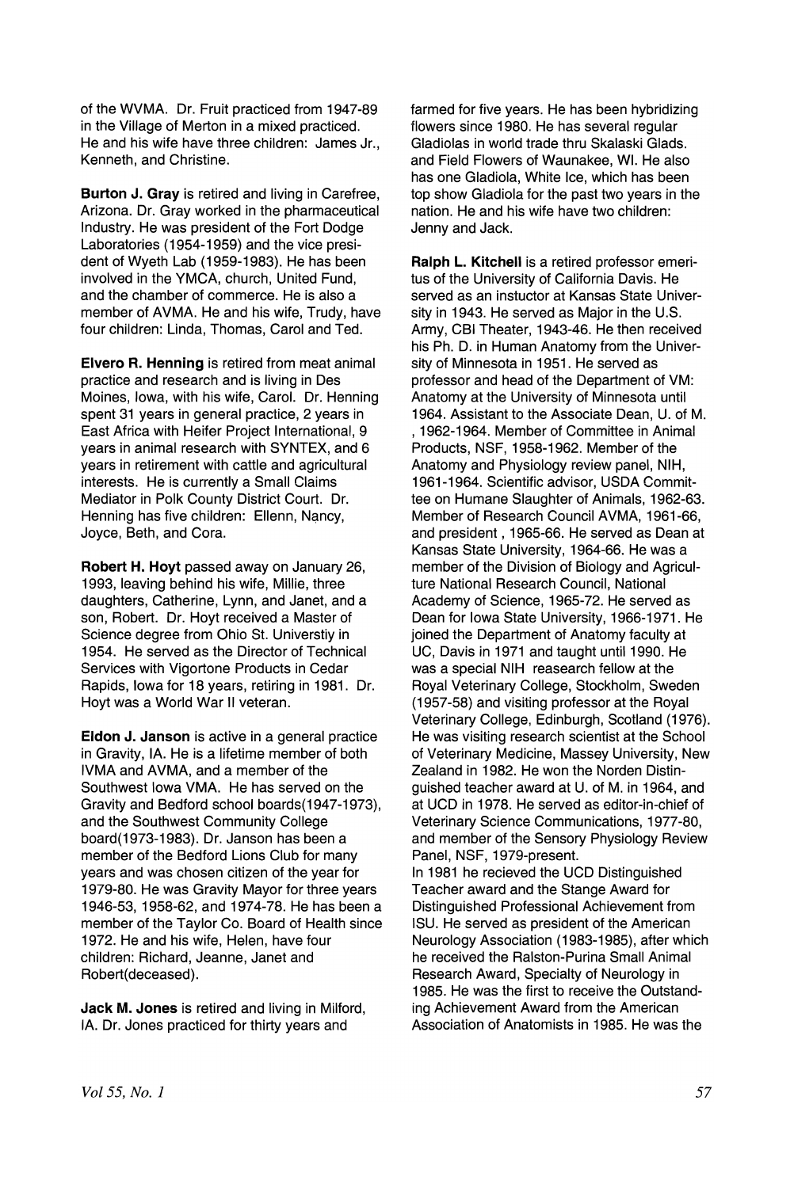of the WVMA. Dr. Fruit practiced from 1947-89 in the Village of Merton in a mixed practiced. He and his wife have three children: James Jr., Kenneth, and Christine.

Burton J. Gray is retired and living in Carefree, Arizona. Dr. Gray worked in the pharmaceutical Industry. He was president of the Fort Dodge Laboratories (1954-1959) and the vice president of Wyeth Lab (1959-1983). He has been involved in the YMCA, church, United Fund, and the chamber of commerce. He is also a member of AVMA. He and his wife, Trudy, have four children: Linda, Thomas, Carol and Ted.

Elvero R. Henning is retired from meat animal practice and research and is living in Des Moines, Iowa, with his wife, Carol. Dr. Henning spent 31 years in general practice, 2 years in East Africa with Heifer Project International, 9 years in animal research with SYNTEX, and 6 years in retirement with cattle and agricultural interests. He is currently a Small Claims Mediator in Polk County District Court. Dr. Henning has five children: Ellenn, Nancy, Joyce, Beth, and Cora.

Robert H. Hoyt passed away on January 26, 1993, leaving behind his wife, Millie, three daughters, Catherine, Lynn, and Janet, and a son, Robert. Dr. Hoyt received a Master of Science degree from Ohio St. Universtiy in 1954. He served as the Director of Technical Services with Vigortone Products in Cedar Rapids, Iowa for 18 years, retiring in 1981. Dr. Hoyt was a World War II veteran.

Eldon J. Janson is active in a general practice in Gravity, IA. He is a lifetime member of both IVMA and AVMA, and a member of the Southwest Iowa VMA. He has served on the Gravity and Bedford school boards(1947-1973), and the Southwest Community College board(1973-1983). Dr. Janson has been a member of the Bedford Lions Club for many years and was chosen citizen of the year for 1979-80. He was Gravity Mayor for three years 1946-53,1958-62, and 1974-78. He has been a member of the Taylor Co. Board of Health since 1972. He and his wife, Helen, have four children: Richard, Jeanne, Janet and Robert(deceased).

Jack M. Jones is retired and living in Milford, IA. Dr. Jones practiced for thirty years and

farmed for five years. He has been hybridizing flowers since 1980. He has several regular Gladiolas in world trade thru Skalaski Glads. and Field Flowers of Waunakee, WI. He also has one Gladiola, White Ice, which has been top show Gladiola for the past two years in the nation. He and his wife have two children: Jenny and Jack.

Ralph L. Kitchell is a retired professor emeritus of the University of California Davis. He served as an instuctor at Kansas State University in 1943. He served as Major in the U.S. Army, CBI Theater, 1943-46. He then received his Ph. D. in Human Anatomy from the University of Minnesota in 1951 . He served as professor and head of the Department of VM: Anatomy at the University of Minnesota until 1964. Assistant to the Associate Dean, U. of M. , 1962-1964. Member of Committee in Animal Products, NSF, 1958-1962. Member of the Anatomy and Physiology review panel, NIH, 1961-1964. Scientific advisor, USDA Commit.. tee on Humane Slaughter of Animals, 1962-63. Member of Research Council AVMA, 1961-66, and president, 1965-66. He served as Dean at Kansas State University, 1964-66. He was a member of the Division of Biology and Agriculture National Research Council, National Academy of Science, 1965-72. He served as Dean for Iowa State University, 1966-1971. He joined the Department of Anatomy faculty at UC, Davis in 1971 and taught until 1990. He was a special NIH reasearch fellow at the Royal Veterinary College, Stockholm, Sweden (1957-58) and visiting professor at the Royal Veterinary College, Edinburgh, Scotland (1976). He was visiting research scientist at the School of Veterinary Medicine, Massey University, New Zealand in 1982. He won the Norden Distinguished teacher award at U. of M. in 1964, and at UCD in 1978. He served as editor-in-chief of Veterinary Science Communications, 1977-80, and member of the Sensory Physiology Review Panel, NSF, 1979-present. In 1981 he recieved the UCD Distinguished Teacher award and the Stange Award for Distinguished Professional Achievement from ISU. He served as president of the American Neurology Association (1983-1985), after which

he received the Ralston-Purina Small Animal Research Award, Specialty of Neurology in 1985. He was the first to receive the Outstanding Achievement Award from the American Association of Anatomists in 1985. He was the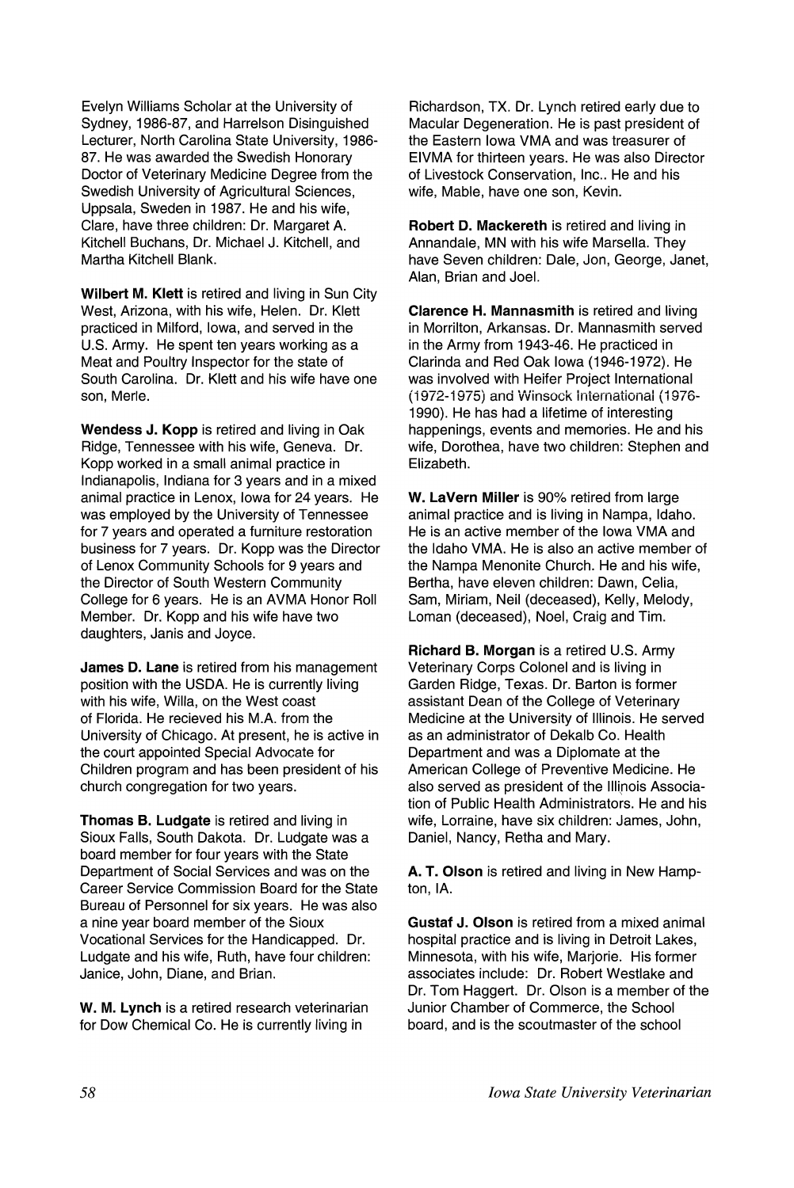Evelyn Williams Scholar at the University of Sydney, 1986-87, and Harrelson Disinguished Lecturer, North Carolina State University, 1986- 87. He was awarded the Swedish Honorary Doctor of Veterinary Medicine Degree from the Swedish University of Agricultural Sciences, Uppsala, Sweden in 1987. He and his wife, Clare, have three children: Dr. Margaret A. Kitchell Buchans, Dr. Michael J. Kitchell, and Martha Kitchell Blank.

Wilbert M. Klett is retired and living in Sun City West, Arizona, with his wife, Helen. Dr. Klett practiced in Milford, Iowa, and served in the U.S. Army. He spent ten years working as a Meat and Poultry Inspector for the state of South Carolina. Dr. Klett and his wife have one son, Merle.

Wendess J. Kopp is retired and living in Oak Ridge, Tennessee with his wife, Geneva. Dr. Kopp worked in a small animal practice in Indianapolis, Indiana for 3 years and in a mixed animal practice in Lenox, Iowa for 24 years. He was employed by the University of Tennessee for 7 years and operated a furniture restoration business for 7 years. Dr. Kopp was the Director of Lenox Community Schools for 9 years and the Director of South Western Community College for 6 years. He is an AVMA Honor Roll Member. Dr. Kopp and his wife have two daughters, Janis and Joyce.

James D. Lane is retired from his management position with the USDA. He is currently living with his wife, Willa, on the West coast of Florida. He recieved his M.A. from the University of Chicago. At present, he is active in the court appointed Special Advocate for Children program and has been president of his church congregation for two years.

Thomas B. Ludgate is retired and living in Sioux Falls, South Dakota. Dr. Ludgate was a board member for four years with the State Department of Social Services and was on the Career Service Commission Board for the State Bureau of Personnel for six years. He was also a nine year board member of the Sioux Vocational Services for the Handicapped. Dr. Ludgate and his wife, Ruth, have four children: Janice, John, Diane, and Brian.

W. M. Lynch is a retired research veterinarian for Dow Chemical Co. He is currently living in

Richardson, TX. Dr. Lynch retired early due to Macular Degeneration. He is past president of the Eastern Iowa VMA and was treasurer of EIVMA for thirteen years. He was also Director of Livestock Conservation, Inc.. He and his wife, Mable, have one son, Kevin.

Robert D. Mackereth is retired and living in Annandale, MN with his wife Marsella. They have Seven children: Dale, Jon, George, Janet, Alan, Brian and Joel.

Clarence H. Mannasmith is retired and living in Morrilton, Arkansas. Dr. Mannasmith served in the Army from 1943-46. He practiced in Clarinda and Red Oak Iowa (1946-1972). He was involved with Heifer Project International (1972-1975) and Winsock International (1976-1990). He has had a lifetime of interesting happenings, events and memories. He and his wife, Dorothea, have two children: Stephen and Elizabeth.

W. LaVern Miller is 90% retired from large animal practice and is living in Nampa, Idaho. He is an active member of the Iowa VMA and the Idaho VMA. He is also an active member of the Nampa Menonite Church. He and his wife, Bertha, have eleven children: Dawn, Celia, Sam, Miriam, Neil (deceased), Kelly, Melody, Loman (deceased), Noel, Craig and Tim.

Richard B. Morgan is a retired U.S. Army Veterinary Corps Colonel and is living in Garden Ridge, Texas. Dr. Barton is former assistant Dean of the College of Veterinary Medicine at the University of Illinois. He served as an administrator of Dekalb Co. Health Department and was a Diplomate at the American College of Preventive Medicine. He also served as president of the Illinois Association of Public Health Administrators. He and his wife, Lorraine, have six children: James, John, Daniel, Nancy, Retha and Mary.

A. T. Olson is retired and living in New Hampton, IA.

Gustaf J. Olson is retired from a mixed animal hospital practice and is living in Detroit Lakes, Minnesota, with his wife, Marjorie. His former associates include: Dr. Robert Westlake and Dr. Tom Haggert. Dr. Olson is a member of the Junior Chamber of Commerce, the School board, and is the scoutmaster of the school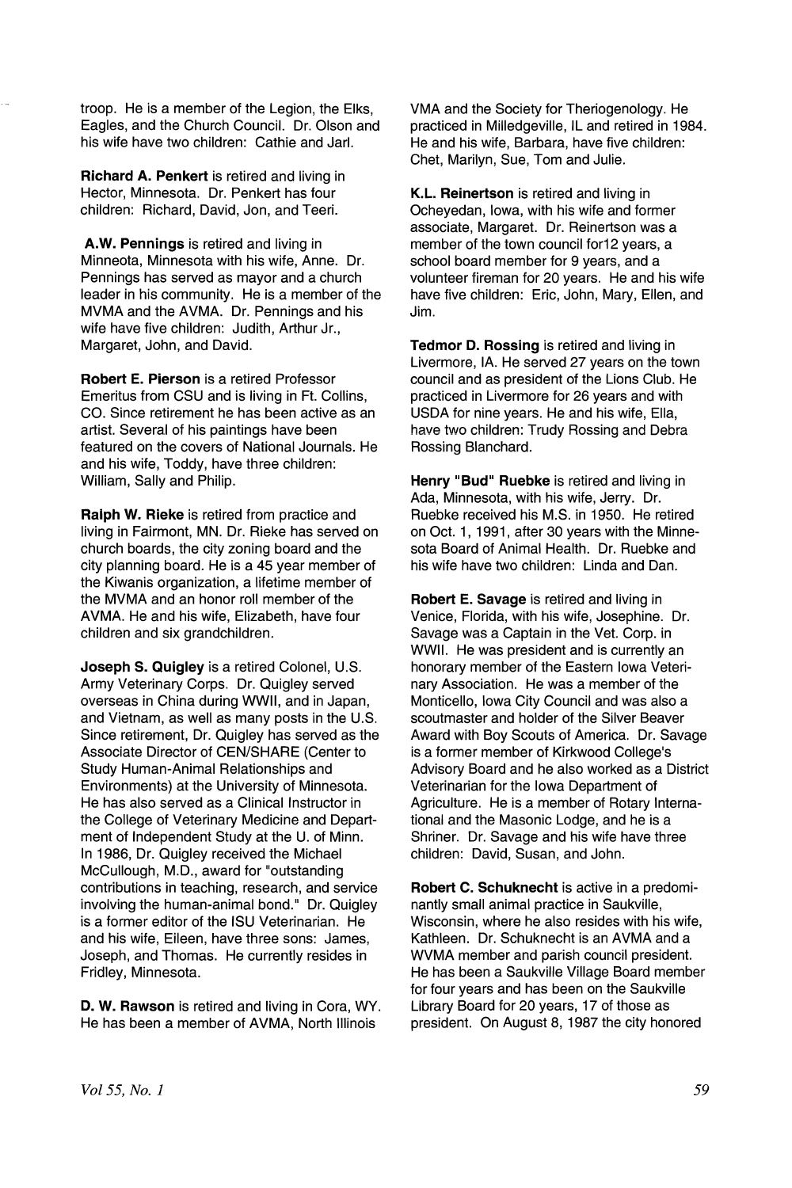troop. He is a member of the Legion, the Elks, Eagles, and the Church Council. Dr. Olson and his wife have two children: Cathie and Jarl.

Richard A. Penkert is retired and living in Hector, Minnesota. Dr. Penkert has four children: Richard, David, Jon, and Teeri.

A.W. Pennings is retired and living in Minneota, Minnesota with his wife, Anne. Dr. Pennings has served as mayor and a church leader in his community. He is a member of the MVMA and the AVMA. Dr. Pennings and his wife have five children: Judith, Arthur Jr., Margaret, John, and David.

Robert E. Pierson is a retired Professor Emeritus from CSU and is living in Ft. Collins, CO. Since retirement he has been active as an artist. Several of his paintings have been featured on the covers of National Journals. He and his wife, Toddy, have three children: William, Sally and Philip.

Ralph W. Rieke is retired from practice and living in Fairmont, MN. Dr. Rieke has served on church boards, the city zoning board and the city planning board. He is a 45 year member of the Kiwanis organization, a lifetime member of the MVMA and an honor roll member of the AVMA. He and his wife, Elizabeth, have four children and six grandchildren.

Joseph S. Quigley is a retired Colonel, U.S. Army Veterinary Corps. Dr. Quigley served overseas in China during WWII, and in Japan, and Vietnam, as well as many posts in the U.S. Since retirement, Dr. Quigley has served as the Associate Director of CEN/SHARE (Center to Study Human-Animal Relationships and Environments) at the University of Minnesota. He has also served as a Clinical Instructor in the College of Veterinary Medicine and Department of Independent Study at the U. of Minn. In 1986, Dr. Quigley received the Michael McCullough, M.D., award for "outstanding contributions in teaching, research, and service involving the human-animal bond." Dr. Quigley is a former editor of the ISU Veterinarian. He and his wife, Eileen, have three sons: James, Joseph, and Thomas. He currently resides in Fridley, Minnesota.

D. W. Rawson is retired and living in Cora, WY. He has been a member of AVMA, North Illinois

VMA and the Society for Theriogenology. He practiced in Milledgeville, IL and retired in 1984. He and his wife, Barbara, have five children: Chet, Marilyn, Sue, Tom and Julie.

K.L. Reinertson is retired and living in Ocheyedan, Iowa, with his wife and former associate, Margaret. Dr. Reinertson was a member of the town council for12 years, a school board member for 9 years, and a volunteer 'fireman for 20 years. He and his wife have five children: Eric, John, Mary, Ellen, and Jim.

Tedmor D. Rossing is retired and living in Livermore, IA. He served 27 years on the town council and as president of the Lions Club. He practiced in Livermore for 26 years and with USDA for nine years. He and his wife, Ella, have two children: Trudy Rossing and Debra Rossing Blanchard.

Henry "Bud" Ruebke is retired and living in Ada, Minnesota, with his wife, Jerry. Dr. Ruebke received his M.S. in 1950. He retired on Oct. 1, 1991, after 30 years with the Minnesota Board of Animal Health. Dr. Ruebke and his wife have two children: Linda and Dan.

Robert E. Savage is retired and living in Venice, Florida, with his wife, Josephine. Dr. Savage was a Captain in the Vet. Corp. in WWII. He was president and is currently an honorary member of the Eastern Iowa Veterinary Association. He was a member of the Monticello, Iowa City Council and was also a scoutmaster and holder of the Silver Beaver Award with Boy Scouts of America. Dr. Savage is a former member of Kirkwood College's Advisory Board and he also worked as a District Veterinarian for the Iowa Department of Agriculture. He is a member of Rotary International and the Masonic Lodge, and he is a Shriner. Dr. Savage and his wife have three children: David, Susan, and John.

Robert C. Schuknecht is active in a predominantly small animal practice in Saukville, Wisconsin, where he also resides with his wife, Kathleen. Dr. Schuknecht is an AVMA and a WVMA member and parish council president. He has been a Saukville Village Board member for four years and has been on the Saukville<br>Library Board for 20 years, 17 of those as Library Board for 20 years, 17 of those as president. On August 8, 1987 the city honored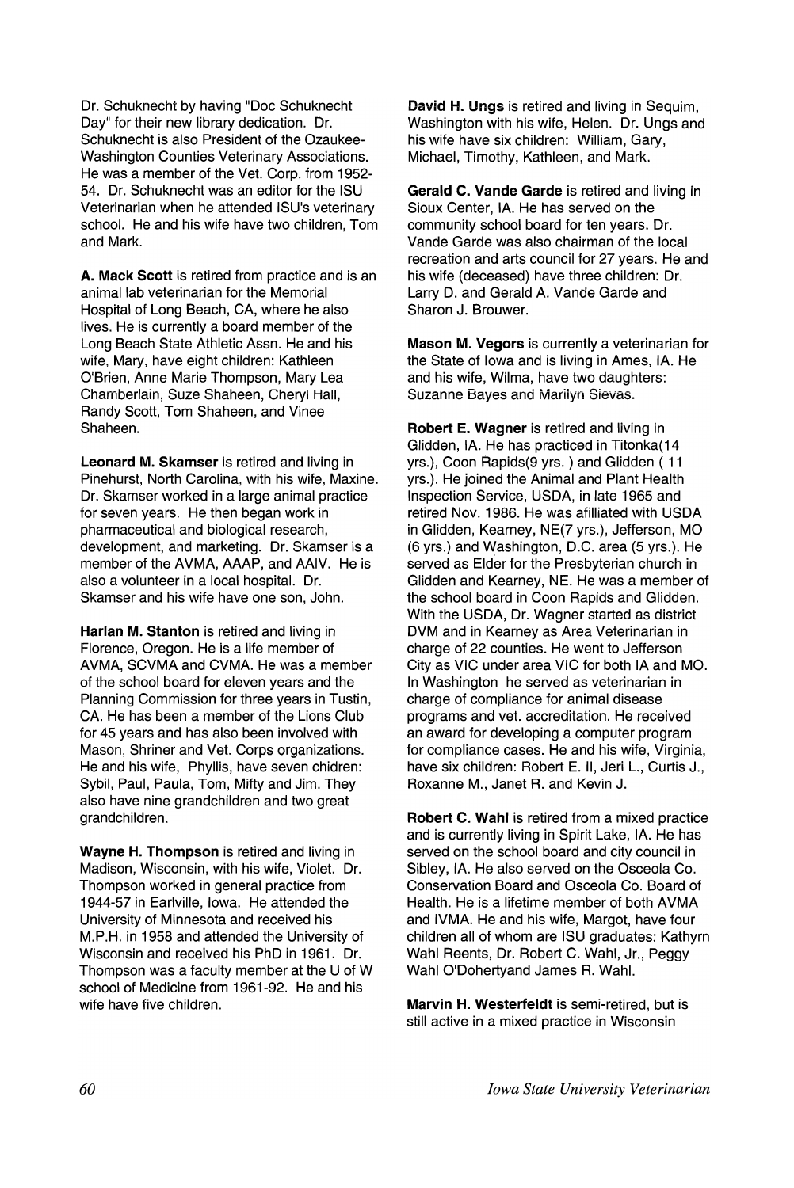Dr. Schuknecht by having "Doc Schuknecht Day" for their new library dedication. Dr. Schuknecht is also President of the Ozaukee-Washington Counties Veterinary Associations. He was a member of the Vet. Corp. from 1952- 54. Dr. Schuknecht was an editor for the ISU Veterinarian when he attended ISU's veterinary school. He and his wife have two children, Tom and Mark.

A. Mack Scott is retired from practice and is an animal lab veterinarian for the Memorial Hospital of Long Beach, CA, where he also lives. He is currently a board member of the Long Beach State Athletic Assn. He and his wife, Mary, have eight children: Kathleen O'Brien, Anne Marie Thompson, Mary Lea Chamberlain, Suze Shaheen, Cheryl Hall, Randy Scott, Tom Shaheen, and Vinee Shaheen.

Leonard M. Skamser is retired and living in Pinehurst, North Carolina, with his wife, Maxine. Dr. Skamser worked in a large animal practice for seven years. He then began work in pharmaceutical and biological research, development, and marketing. Dr. Skamser is a member of the AVMA, AAAP, and AAIV. He is also a volunteer in a local hospital. Dr. Skamser and his wife have one son, John.

Harlan M. Stanton is retired and living in Florence, Oregon. He is a life member of AVMA, SCVMA and CVMA. He was a member of the school board for eleven years and the Planning Commission for three years in Tustin, CA. He has been a member of the Lions Club for 45 years and has also been involved with Mason, Shriner and Vet. Corps organizations. He and his wife, Phyllis, have seven chidren: Sybil, Paul, Paula, Tom, Mifty and Jim. They also have nine grandchildren and two great grandchildren.

wayne H. Thompson is retired and living in Madison, Wisconsin, with his wife, Violet. Dr. Thompson worked in general practice from<br>1944-57 in Earlville, lowa. He attended the University of Minnesota and received his M.P.H. in 1958 and attended the University of Wisconsin and received his PhD in 1961. Dr. Thompson was a faculty member at the U of W school of Medicine from 1961-92. He and his school of Medicine from 1961-92. He and his wife have five children.

David H. Ungs is retired and living in Sequim, Washington with his wife, Helen. Dr. Ungs and his wife have six children: William, Gary, Michael, Timothy, Kathleen, and Mark.

Gerald C. Vande Garde is retired and living in Sioux Center, IA. He has served on the community school board for ten years. Dr. Vande Garde was also chairman of the local recreation and arts council for 27 years. He and his wife (deceased) have three children: Dr. Larry D. and Gerald A. Vande Garde and Sharon J. Brouwer.

Mason M. Vegors is currently a veterinarian for the State of Iowa and is living in Ames, IA. He and his wife, Wilma, have two daughters: Suzanne Bayes and Marilyn Sievas.

Robert E. Wagner is retired and living in Glidden, IA. He has practiced in Titonka(14 yrs.), Coon Rapids(9 yrs. ) and Glidden ( 11 yrs.). He joined the Animal and Plant Health Inspection Service, USDA, in late 1965 and retired Nov. 1986. He was afilliated with USDA in Glidden, Kearney, NE(7 yrs.), Jefferson, MO (6 yrs.) and Washington, D.C. area (5 yrs.). He served as Elder for the Presbyterian church in Glidden and Kearney, NE. He was a member of the school board in Coon Rapids and Glidden. With the USDA, Dr. Wagner started as district DVM and in Kearney as Area Veterinarian in charge of 22 counties. He went to Jefferson City as VIC under area VIC for both IA and MO. In Washington he served as veterinarian in charge of compliance for animal disease programs and vet. accreditation. He received an award for developing a computer program for compliance cases. He and his wife, Virginia, have six children: Robert E. II, Jeri L., Curtis J., Roxanne M., Janet R. and Kevin J.

Robert C. Wahl is retired from a mixed practice and is currently living in Spirit Lake, IA. He has<br>served on the school board and city council in Sibley, IA. He also served on the Osceola Co. Conservation Board and Osceola Co. Board of Health. He is a lifetime member of both AVMA and IVMA. He and his wife, Margot, have four children all of whom are ISU graduates: Kathyrn children all of whom are ISU graduates: Kathyrn Wahl Reents, Dr. Robert C. Wahl, Jr., Peggy Wahl O'Dohertyand James R. Wahl.

Marvin H. Westerfeldt is semi-retired, but is still active in a mixed practice in Wisconsin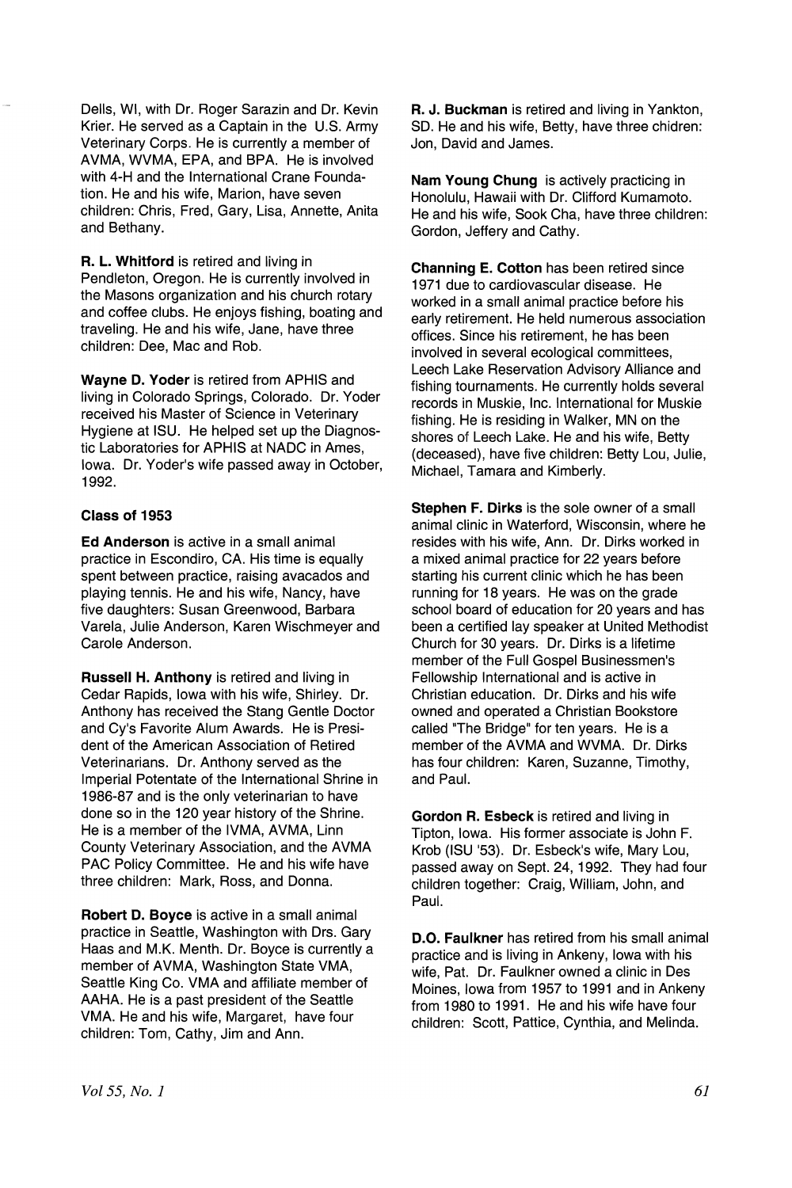Dells, WI, with Dr. Roger Sarazin and Dr. Kevin Krier. He served as a Captain in the U.S. Army Veterinary Corps. He is currently a member of AVMA, WVMA, EPA, and BPA. He is involved with 4-H and the International Crane Foundation. He and his wife, Marion, have seven children: Chris, Fred, Gary, Lisa, Annette, Anita and Bethany.

R. L. Whitford is retired and living in Pendleton, Oregon. He is currently involved in the Masons organization and his church rotary and coffee clubs. He enjoys fishing, boating and traveling. He and his wife, Jane, have three children: Dee, Mac and Rob.

Wayne D. Yoder is retired from APHIS and living in Colorado Springs, Colorado. Dr. Yoder received his Master of Science in Veterinary Hygiene at ISU. He helped set up the Diagnostic Laboratories for APHIS at NADC in Ames, Iowa. Dr. Yoder's wife passed away in October, 1992.

### Class of 1953

Ed Anderson is active in a small animal practice in Escondiro, CA. His time is equally spent between practice, raising avacados and playing tennis. He and his wife, Nancy, have five daughters: Susan Greenwood, Barbara Varela, Julie Anderson, Karen Wischmeyer and Carole Anderson.

Russell H. Anthony is retired and living in Cedar Rapids, Iowa with his wife, Shirley. Dr. Anthony has received the Stang Gentle Doctor and Cy's Favorite Alum Awards. He is President of the American Association of Retired Veterinarians. Dr. Anthony served as the Imperial Potentate of the International Shrine in 1986-87 and is the only veterinarian to have done so in the 120 year history of the Shrine. He is a member of the IVMA, AVMA, Linn County Veterinary Association, and the AVMA PAC Policy Committee. He and his wife have three children: Mark, Ross, and Donna.

Robert D. Boyce is active in a small animal practice in Seattle, Washington with Drs. Gary Haas and M.K. Menth. Dr. Boyce is currently a member of AVMA, Washington State VMA, Seattle King Co. VMA and affiliate member of AAHA. He is a past president of the Seattle VMA. He and his wife, Margaret, have four children: Tom, Cathy, Jim and Ann.

R. J. Buckman is retired and living in Yankton, SO. He and his wife, Betty, have three chidren: Jon, David and James.

Nam Young Chung is actively practicing in Honolulu, Hawaii with Dr. Clifford Kumamoto. He and his wife, Sook Cha, have three children: Gordon, Jeffery and Cathy.

Channing E. Cotton has been retired since 1971 due to cardiovascular disease. He worked in a small animal practice before his early retirement. He held numerous association offices. Since his retirement, he has been involved in several ecological committees, Leech Lake Reservation Advisory Alliance and fishing tournaments. He currently holds several records in Muskie, Inc. International for Muskie fishing. He is residing in Walker, MN on the shores of Leech Lake. He and his wife, Betty (deceased), have five children: Betty Lou, Julie, Michael, Tamara and Kimberly.

Stephen F. Dirks is the sole owner of a small animal clinic in Waterford, Wisconsin, where he resides with his wife, Ann. Dr. Dirks worked in a mixed animal practice for 22 years before starting his current clinic which he has been running for 18 years. He was on the grade school board of education for 20 years and has been a certified lay speaker at United Methodist Church for 30 years. Dr. Dirks is a lifetime member of the Full Gospel Businessmen's Fellowship International and is active in Christian education. Dr. Dirks and his wife owned and operated a Christian Bookstore called "The Bridge" for ten years. He is a member of the AVMA and WVMA. Dr. Dirks has four children: Karen, Suzanne, Timothy, and Paul.

Gordon R. Esbeck is retired and living in Tipton, Iowa. His former associate is John F. Krob (ISU '53). Dr. Esbeck's wife, Mary Lou, passed away on Sept. 24, 1992. They had four children together: Craig, William, John, and Paul.

D.O. Faulkner has retired from his small animal practice and is living in Ankeny, Iowa with his wife, Pat. Dr. Faulkner owned a clinic in Des Moines, Iowa from 1957 to 1991 and in Ankeny from 1980 to 1991. He and his wife have four children: Scott, Pattice, Cynthia, and Melinda.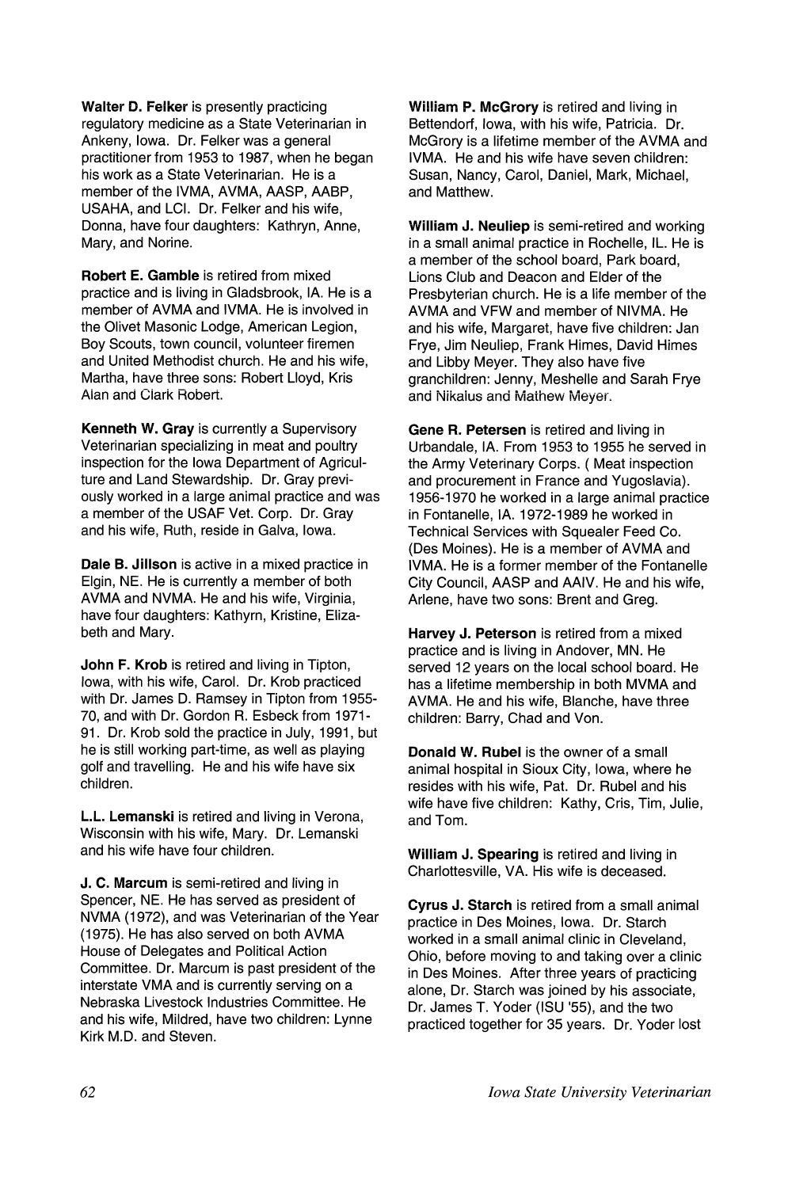Walter D. Felker is presently practicing regulatory medicine as a State Veterinarian in Ankeny, Iowa. Dr. Felker was a general practitioner from 1953 to 1987, when he began his work as a State Veterinarian. He is a member of the IVMA, AVMA, AASP, AABP, USAHA, and LCI. Dr. Felker and his wife, Donna, have four daughters: Kathryn, Anne, Mary, and Norine.

Robert E. Gamble is retired from mixed practice and is living in Gladsbrook, IA. He is a member of AVMA and IVMA. He is involved in the Olivet Masonic Lodge, American Legion, Boy Scouts, town council, volunteer firemen and United Methodist church. He and his wife, Martha, have three sons: Robert Lloyd, Kris Alan and Ciark Robert.

Kenneth W. Gray is currently a Supervisory Veterinarian specializing in meat and poultry inspection for the Iowa Department of Agriculture and Land Stewardship. Dr. Gray previously worked in a large animal practice and was a member of the USAF Vet. Corp. Dr. Gray and his wife, Ruth, reside in Galva, Iowa.

Dale B. Jillson is active in a mixed practice in Elgin, NE. He is currently a member of both AVMA and NVMA. He and his wife, Virginia, have four daughters: Kathyrn, Kristine, Elizabeth and Mary.

John F. Krob is retired and living in Tipton, Iowa, with his wife, Carol. Dr. Krob practiced with Dr. James D. Ramsey in Tipton from 1955- 70, and with Dr. Gordon R. Esbeck from 1971- 91. Dr. Krob sold the practice in July, 1991, but he is still working part-time, as well as playing golf and travelling. He and his wife have six children.

L.L. Lemanski is retired and living in Verona, Wisconsin with his wife, Mary. Dr. Lemanski and his wife have four children.

J. C. Marcum is semi-retired and living in Spencer, NE. He has served as president of NVMA (1972), and was Veterinarian of the Year (1975). He has also served on both AVMA House of Delegates and Political Action Committee. Dr. Marcum is past president of the interstate VMA and is currently serving on a Nebraska Livestock Industries Committee. He and his wife, Mildred, have two children: Lynne Kirk M.D. and Steven.

William P. McGrory is retired and living in Bettendorf, Iowa, with his wife, Patricia. Dr. McGrory is a lifetime member of the AVMA and IVMA. He and his wife have seven children: Susan, Nancy, Carol, Daniel, Mark, Michael, and Matthew.

William J. Neuliep is semi-retired and working in a small animal practice in Rochelle, IL. He is a member of the school board, Park board, Lions Club and Deacon and Elder of the Presbyterian church. He is a life member of the AVMA and VFW and member of NIVMA. He and his wife, Margaret, have five children: Jan Frye, Jim Neuliep, Frank Himes, David Himes and Libby Meyer. They also have five granchildren: Jenny, Meshelle and Sarah Frye and Nikalus and Mathew Mever.

Gene R. Petersen is retired and living in Urbandale, IA. From 1953 to 1955 he served in the Army Veterinary Corps. ( Meat inspection and procurement in France and Yugoslavia). 1956-1970 he worked in a large animal practice in Fontanelle, IA. 1972-1989 he worked in Technical Services with Squealer Feed Co. (Des Moines). He is a member of AVMA and IVMA. He is a former member of the Fontanelle City Council, AASP and AAIV. He and his wife, Arlene, have two sons: Brent and Greg.

Harvey J. Peterson is retired from a mixed practice and is living in Andover, MN. He served 12 years on the local school board. He has a lifetime membership in both MVMA and AVMA. He and his wife, Blanche, have three children: Barry, Chad and Von.

Donald W. Rubel is the owner of a small animal hospital in Sioux City, Iowa, where he resides with his wife, Pat. Dr. Rubel and his wife have five children: Kathy, Cris, Tim, Julie, and Tom.

William J. Spearing is retired and living in Charlottesville, VA. His wife is deceased.

Cyrus J. Starch is retired from a small animal practice in Des Moines, Iowa. Dr. Starch worked in a small animal clinic in Cleveland, Ohio, before moving to and taking over a clinic in Des Moines. After three years of practicing alone, Dr. Starch was joined by his associate, Dr. James T. Yoder (ISU 155), and the two practiced together for 35 years. Dr. Yoder lost